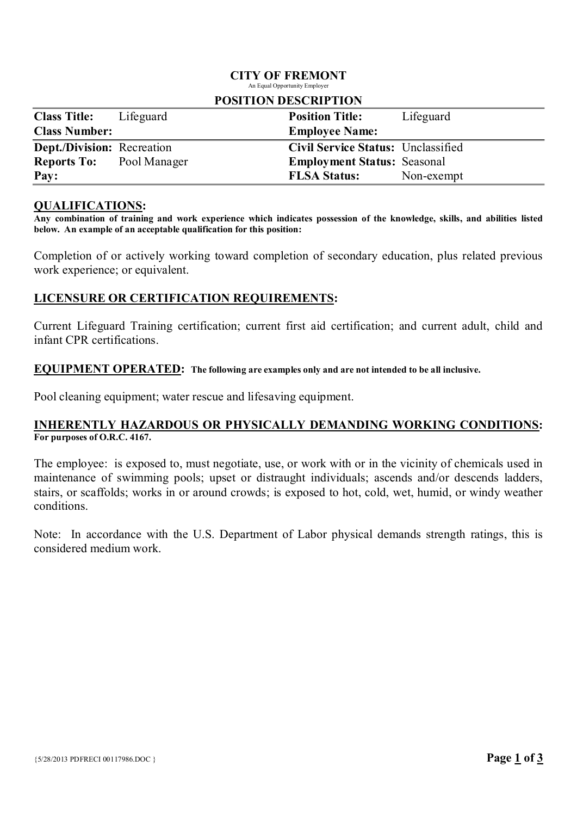#### CITY OF FREMONT An Equal Opportunity Employer

| I OSHI UJIN DESUMI TION           |           |                                    |            |  |
|-----------------------------------|-----------|------------------------------------|------------|--|
| <b>Class Title:</b>               | Lifeguard | <b>Position Title:</b>             | Lifeguard  |  |
| <b>Class Number:</b>              |           | <b>Employee Name:</b>              |            |  |
| <b>Dept./Division:</b> Recreation |           | Civil Service Status: Unclassified |            |  |
| <b>Reports To:</b> Pool Manager   |           | <b>Employment Status: Seasonal</b> |            |  |
| Pay:                              |           | <b>FLSA Status:</b>                | Non-exempt |  |

# POSITION DESCRIPTION

### QUALIFICATIONS:

Any combination of training and work experience which indicates possession of the knowledge, skills, and abilities listed below. An example of an acceptable qualification for this position:

Completion of or actively working toward completion of secondary education, plus related previous work experience; or equivalent.

## LICENSURE OR CERTIFICATION REQUIREMENTS:

Current Lifeguard Training certification; current first aid certification; and current adult, child and infant CPR certifications.

## EQUIPMENT OPERATED: The following are examples only and are not intended to be all inclusive.

Pool cleaning equipment; water rescue and lifesaving equipment.

### INHERENTLY HAZARDOUS OR PHYSICALLY DEMANDING WORKING CONDITIONS: For purposes of O.R.C. 4167.

The employee: is exposed to, must negotiate, use, or work with or in the vicinity of chemicals used in maintenance of swimming pools; upset or distraught individuals; ascends and/or descends ladders, stairs, or scaffolds; works in or around crowds; is exposed to hot, cold, wet, humid, or windy weather conditions.

Note: In accordance with the U.S. Department of Labor physical demands strength ratings, this is considered medium work.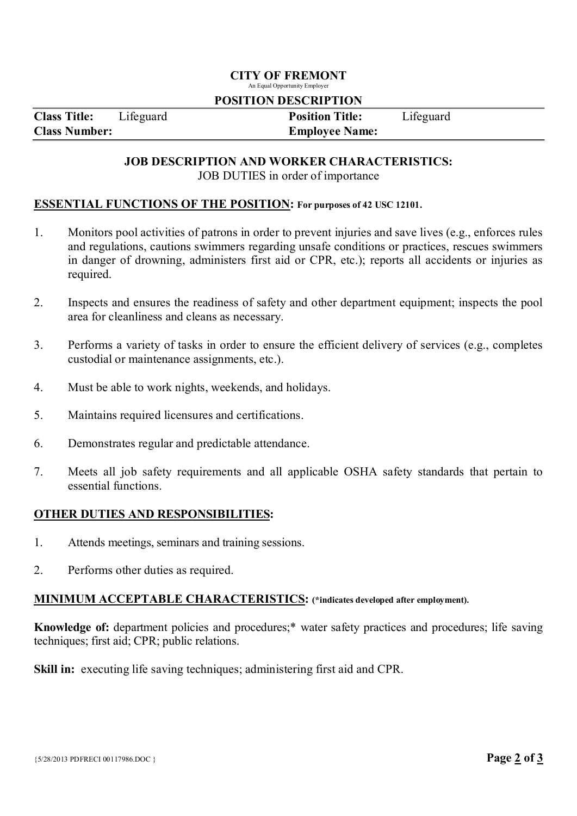## CITY OF FREMONT

An Equal Opportunity Employer

#### POSITION DESCRIPTION

Class Title: Lifeguard Position Title: Lifeguard Class Number: Employee Name:

### JOB DESCRIPTION AND WORKER CHARACTERISTICS: JOB DUTIES in order of importance

### ESSENTIAL FUNCTIONS OF THE POSITION: For purposes of 42 USC 12101.

- 1. Monitors pool activities of patrons in order to prevent injuries and save lives (e.g., enforces rules and regulations, cautions swimmers regarding unsafe conditions or practices, rescues swimmers in danger of drowning, administers first aid or CPR, etc.); reports all accidents or injuries as required.
- 2. Inspects and ensures the readiness of safety and other department equipment; inspects the pool area for cleanliness and cleans as necessary.
- 3. Performs a variety of tasks in order to ensure the efficient delivery of services (e.g., completes custodial or maintenance assignments, etc.).
- 4. Must be able to work nights, weekends, and holidays.
- 5. Maintains required licensures and certifications.
- 6. Demonstrates regular and predictable attendance.
- 7. Meets all job safety requirements and all applicable OSHA safety standards that pertain to essential functions.

## OTHER DUTIES AND RESPONSIBILITIES:

- 1. Attends meetings, seminars and training sessions.
- 2. Performs other duties as required.

### MINIMUM ACCEPTABLE CHARACTERISTICS: (\*indicates developed after employment).

Knowledge of: department policies and procedures;\* water safety practices and procedures; life saving techniques; first aid; CPR; public relations.

Skill in: executing life saving techniques; administering first aid and CPR.